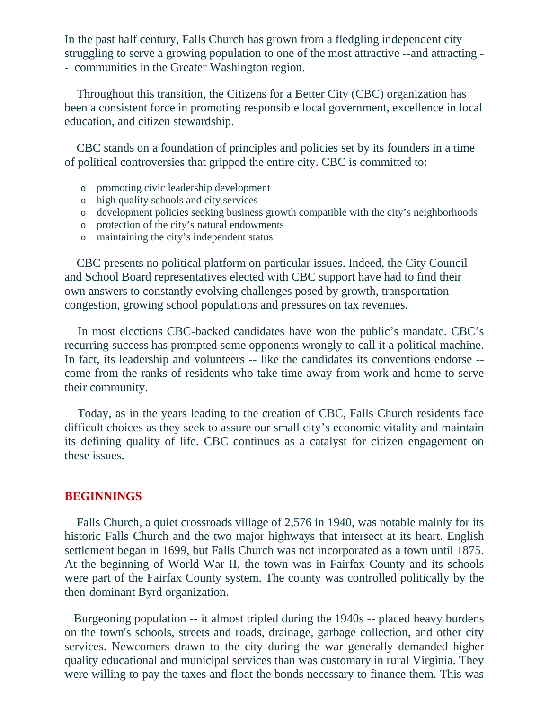In the past half century, Falls Church has grown from a fledgling independent city struggling to serve a growing population to one of the most attractive --and attracting - - communities in the Greater Washington region.

 Throughout this transition, the Citizens for a Better City (CBC) organization has been a consistent force in promoting responsible local government, excellence in local education, and citizen stewardship.

 CBC stands on a foundation of principles and policies set by its founders in a time of political controversies that gripped the entire city. CBC is committed to:

- o promoting civic leadership development
- o high quality schools and city services
- o development policies seeking business growth compatible with the city's neighborhoods
- o protection of the city's natural endowments
- o maintaining the city's independent status

 CBC presents no political platform on particular issues. Indeed, the City Council and School Board representatives elected with CBC support have had to find their own answers to constantly evolving challenges posed by growth, transportation congestion, growing school populations and pressures on tax revenues.

 In most elections CBC-backed candidates have won the public's mandate. CBC's recurring success has prompted some opponents wrongly to call it a political machine. In fact, its leadership and volunteers -- like the candidates its conventions endorse - come from the ranks of residents who take time away from work and home to serve their community.

 Today, as in the years leading to the creation of CBC, Falls Church residents face difficult choices as they seek to assure our small city's economic vitality and maintain its defining quality of life. CBC continues as a catalyst for citizen engagement on these issues.

#### **BEGINNINGS**

 Falls Church, a quiet crossroads village of 2,576 in 1940, was notable mainly for its historic Falls Church and the two major highways that intersect at its heart. English settlement began in 1699, but Falls Church was not incorporated as a town until 1875. At the beginning of World War II, the town was in Fairfax County and its schools were part of the Fairfax County system. The county was controlled politically by the then-dominant Byrd organization.

 Burgeoning population -- it almost tripled during the 1940s -- placed heavy burdens on the town's schools, streets and roads, drainage, garbage collection, and other city services. Newcomers drawn to the city during the war generally demanded higher quality educational and municipal services than was customary in rural Virginia. They were willing to pay the taxes and float the bonds necessary to finance them. This was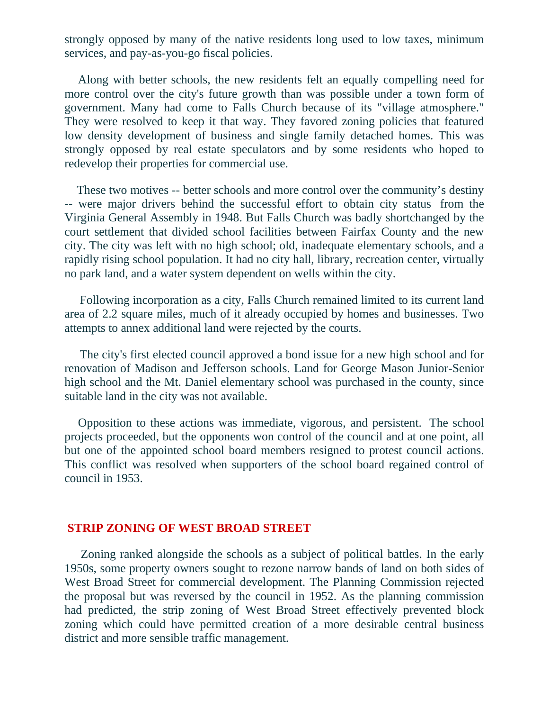strongly opposed by many of the native residents long used to low taxes, minimum services, and pay-as-you-go fiscal policies.

 Along with better schools, the new residents felt an equally compelling need for more control over the city's future growth than was possible under a town form of government. Many had come to Falls Church because of its "village atmosphere." They were resolved to keep it that way. They favored zoning policies that featured low density development of business and single family detached homes. This was strongly opposed by real estate speculators and by some residents who hoped to redevelop their properties for commercial use.

 These two motives -- better schools and more control over the community's destiny -- were major drivers behind the successful effort to obtain city status from the Virginia General Assembly in 1948. But Falls Church was badly shortchanged by the court settlement that divided school facilities between Fairfax County and the new city. The city was left with no high school; old, inadequate elementary schools, and a rapidly rising school population. It had no city hall, library, recreation center, virtually no park land, and a water system dependent on wells within the city.

 Following incorporation as a city, Falls Church remained limited to its current land area of 2.2 square miles, much of it already occupied by homes and businesses. Two attempts to annex additional land were rejected by the courts.

 The city's first elected council approved a bond issue for a new high school and for renovation of Madison and Jefferson schools. Land for George Mason Junior-Senior high school and the Mt. Daniel elementary school was purchased in the county, since suitable land in the city was not available.

 Opposition to these actions was immediate, vigorous, and persistent. The school projects proceeded, but the opponents won control of the council and at one point, all but one of the appointed school board members resigned to protest council actions. This conflict was resolved when supporters of the school board regained control of council in 1953.

#### **STRIP ZONING OF WEST BROAD STREET**

 Zoning ranked alongside the schools as a subject of political battles. In the early 1950s, some property owners sought to rezone narrow bands of land on both sides of West Broad Street for commercial development. The Planning Commission rejected the proposal but was reversed by the council in 1952. As the planning commission had predicted, the strip zoning of West Broad Street effectively prevented block zoning which could have permitted creation of a more desirable central business district and more sensible traffic management.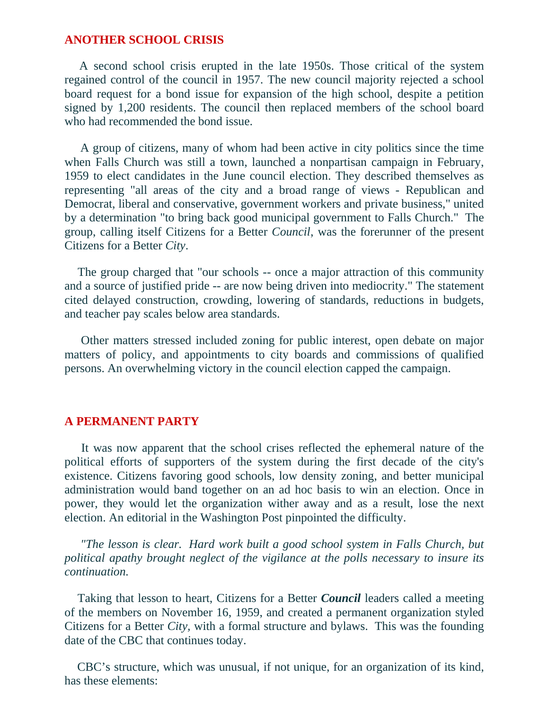# **ANOTHER SCHOOL CRISIS**

 A second school crisis erupted in the late 1950s. Those critical of the system regained control of the council in 1957. The new council majority rejected a school board request for a bond issue for expansion of the high school, despite a petition signed by 1,200 residents. The council then replaced members of the school board who had recommended the bond issue.

 A group of citizens, many of whom had been active in city politics since the time when Falls Church was still a town, launched a nonpartisan campaign in February, 1959 to elect candidates in the June council election. They described themselves as representing "all areas of the city and a broad range of views - Republican and Democrat, liberal and conservative, government workers and private business," united by a determination "to bring back good municipal government to Falls Church." The group, calling itself Citizens for a Better *Council*, was the forerunner of the present Citizens for a Better *City*.

 The group charged that "our schools -- once a major attraction of this community and a source of justified pride -- are now being driven into mediocrity." The statement cited delayed construction, crowding, lowering of standards, reductions in budgets, and teacher pay scales below area standards.

 Other matters stressed included zoning for public interest, open debate on major matters of policy, and appointments to city boards and commissions of qualified persons. An overwhelming victory in the council election capped the campaign.

#### **A PERMANENT PARTY**

 It was now apparent that the school crises reflected the ephemeral nature of the political efforts of supporters of the system during the first decade of the city's existence. Citizens favoring good schools, low density zoning, and better municipal administration would band together on an ad hoc basis to win an election. Once in power, they would let the organization wither away and as a result, lose the next election. An editorial in the Washington Post pinpointed the difficulty.

 *"The lesson is clear. Hard work built a good school system in Falls Church, but political apathy brought neglect of the vigilance at the polls necessary to insure its continuation.* 

 Taking that lesson to heart, Citizens for a Better *Council* leaders called a meeting of the members on November 16, 1959, and created a permanent organization styled Citizens for a Better *City,* with a formal structure and bylaws. This was the founding date of the CBC that continues today.

 CBC's structure, which was unusual, if not unique, for an organization of its kind, has these elements: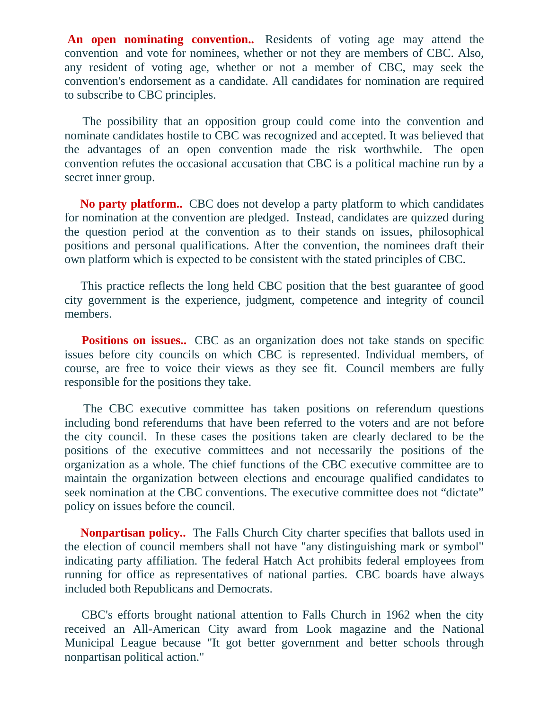**An open nominating convention..** Residents of voting age may attend the convention and vote for nominees, whether or not they are members of CBC. Also, any resident of voting age, whether or not a member of CBC, may seek the convention's endorsement as a candidate. All candidates for nomination are required to subscribe to CBC principles.

 The possibility that an opposition group could come into the convention and nominate candidates hostile to CBC was recognized and accepted. It was believed that the advantages of an open convention made the risk worthwhile. The open convention refutes the occasional accusation that CBC is a political machine run by a secret inner group.

 **No party platform..** CBC does not develop a party platform to which candidates for nomination at the convention are pledged. Instead, candidates are quizzed during the question period at the convention as to their stands on issues, philosophical positions and personal qualifications. After the convention, the nominees draft their own platform which is expected to be consistent with the stated principles of CBC.

 This practice reflects the long held CBC position that the best guarantee of good city government is the experience, judgment, competence and integrity of council members.

**Positions on issues..** CBC as an organization does not take stands on specific issues before city councils on which CBC is represented. Individual members, of course, are free to voice their views as they see fit. Council members are fully responsible for the positions they take.

 The CBC executive committee has taken positions on referendum questions including bond referendums that have been referred to the voters and are not before the city council. In these cases the positions taken are clearly declared to be the positions of the executive committees and not necessarily the positions of the organization as a whole. The chief functions of the CBC executive committee are to maintain the organization between elections and encourage qualified candidates to seek nomination at the CBC conventions. The executive committee does not "dictate" policy on issues before the council.

 **Nonpartisan policy..** The Falls Church City charter specifies that ballots used in the election of council members shall not have "any distinguishing mark or symbol" indicating party affiliation. The federal Hatch Act prohibits federal employees from running for office as representatives of national parties. CBC boards have always included both Republicans and Democrats.

 CBC's efforts brought national attention to Falls Church in 1962 when the city received an All-American City award from Look magazine and the National Municipal League because "It got better government and better schools through nonpartisan political action."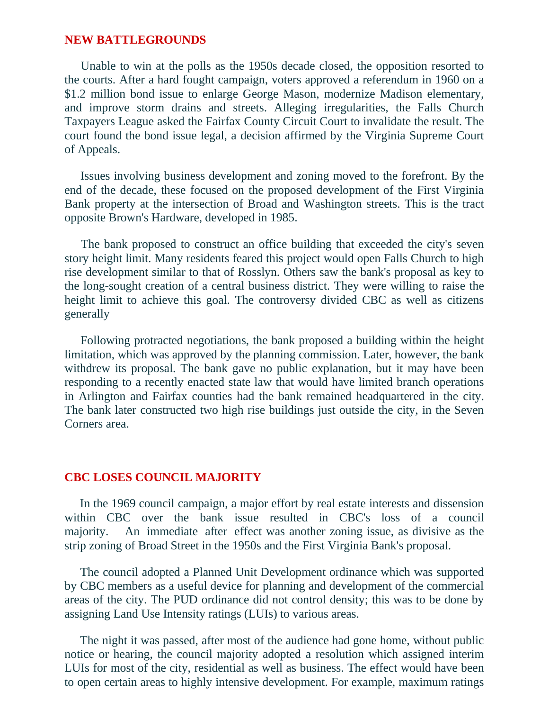# **NEW BATTLEGROUNDS**

 Unable to win at the polls as the 1950s decade closed, the opposition resorted to the courts. After a hard fought campaign, voters approved a referendum in 1960 on a \$1.2 million bond issue to enlarge George Mason, modernize Madison elementary, and improve storm drains and streets. Alleging irregularities, the Falls Church Taxpayers League asked the Fairfax County Circuit Court to invalidate the result. The court found the bond issue legal, a decision affirmed by the Virginia Supreme Court of Appeals.

 Issues involving business development and zoning moved to the forefront. By the end of the decade, these focused on the proposed development of the First Virginia Bank property at the intersection of Broad and Washington streets. This is the tract opposite Brown's Hardware, developed in 1985.

 The bank proposed to construct an office building that exceeded the city's seven story height limit. Many residents feared this project would open Falls Church to high rise development similar to that of Rosslyn. Others saw the bank's proposal as key to the long-sought creation of a central business district. They were willing to raise the height limit to achieve this goal. The controversy divided CBC as well as citizens generally

 Following protracted negotiations, the bank proposed a building within the height limitation, which was approved by the planning commission. Later, however, the bank withdrew its proposal. The bank gave no public explanation, but it may have been responding to a recently enacted state law that would have limited branch operations in Arlington and Fairfax counties had the bank remained headquartered in the city. The bank later constructed two high rise buildings just outside the city, in the Seven Corners area.

#### **CBC LOSES COUNCIL MAJORITY**

 In the 1969 council campaign, a major effort by real estate interests and dissension within CBC over the bank issue resulted in CBC's loss of a council majority. An immediate after effect was another zoning issue, as divisive as the strip zoning of Broad Street in the 1950s and the First Virginia Bank's proposal.

 The council adopted a Planned Unit Development ordinance which was supported by CBC members as a useful device for planning and development of the commercial areas of the city. The PUD ordinance did not control density; this was to be done by assigning Land Use Intensity ratings (LUIs) to various areas.

 The night it was passed, after most of the audience had gone home, without public notice or hearing, the council majority adopted a resolution which assigned interim LUIs for most of the city, residential as well as business. The effect would have been to open certain areas to highly intensive development. For example, maximum ratings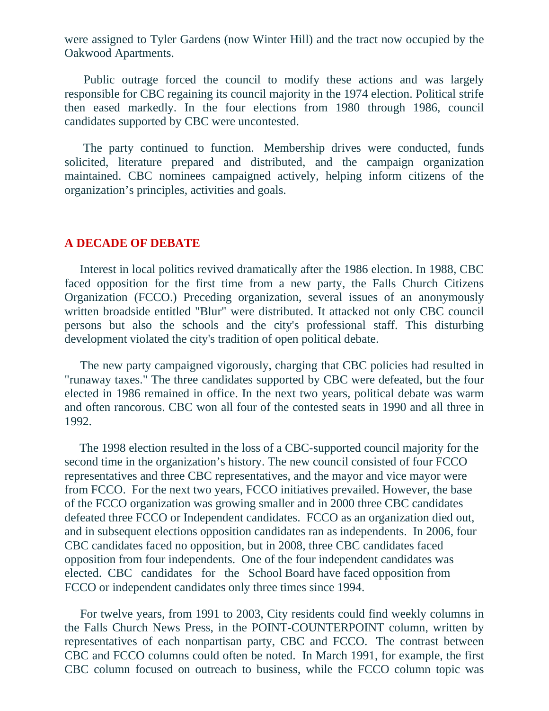were assigned to Tyler Gardens (now Winter Hill) and the tract now occupied by the Oakwood Apartments.

 Public outrage forced the council to modify these actions and was largely responsible for CBC regaining its council majority in the 1974 election. Political strife then eased markedly. In the four elections from 1980 through 1986, council candidates supported by CBC were uncontested.

 The party continued to function. Membership drives were conducted, funds solicited, literature prepared and distributed, and the campaign organization maintained. CBC nominees campaigned actively, helping inform citizens of the organization's principles, activities and goals.

# **A DECADE OF DEBATE**

 Interest in local politics revived dramatically after the 1986 election. In 1988, CBC faced opposition for the first time from a new party, the Falls Church Citizens Organization (FCCO.) Preceding organization, several issues of an anonymously written broadside entitled "Blur" were distributed. It attacked not only CBC council persons but also the schools and the city's professional staff. This disturbing development violated the city's tradition of open political debate.

 The new party campaigned vigorously, charging that CBC policies had resulted in "runaway taxes." The three candidates supported by CBC were defeated, but the four elected in 1986 remained in office. In the next two years, political debate was warm and often rancorous. CBC won all four of the contested seats in 1990 and all three in 1992.

 The 1998 election resulted in the loss of a CBC-supported council majority for the second time in the organization's history. The new council consisted of four FCCO representatives and three CBC representatives, and the mayor and vice mayor were from FCCO. For the next two years, FCCO initiatives prevailed. However, the base of the FCCO organization was growing smaller and in 2000 three CBC candidates defeated three FCCO or Independent candidates. FCCO as an organization died out, and in subsequent elections opposition candidates ran as independents. In 2006, four CBC candidates faced no opposition, but in 2008, three CBC candidates faced opposition from four independents. One of the four independent candidates was elected. CBC candidates for the School Board have faced opposition from FCCO or independent candidates only three times since 1994.

 For twelve years, from 1991 to 2003, City residents could find weekly columns in the Falls Church News Press, in the POINT-COUNTERPOINT column, written by representatives of each nonpartisan party, CBC and FCCO. The contrast between CBC and FCCO columns could often be noted. In March 1991, for example, the first CBC column focused on outreach to business, while the FCCO column topic was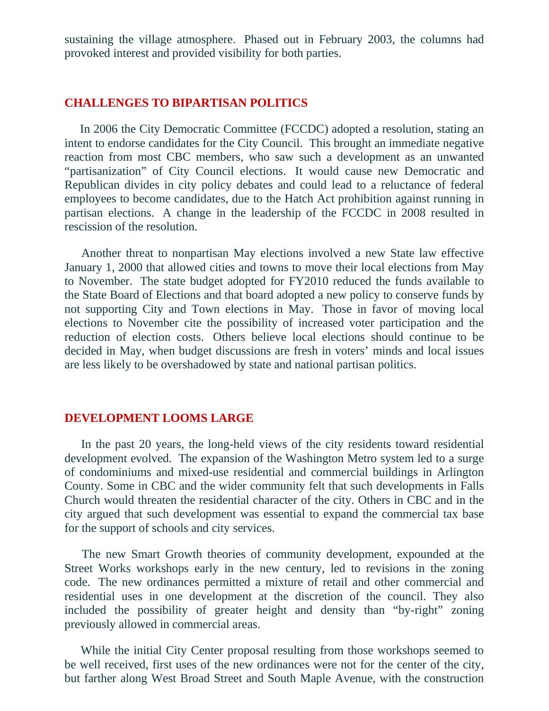sustaining the village atmosphere. Phased out in February 2003, the columns had provoked interest and provided visibility for both parties.

# **CHALLENGES TO BIPARTISAN POLITICS**

 In 2006 the City Democratic Committee (FCCDC) adopted a resolution, stating an intent to endorse candidates for the City Council. This brought an immediate negative reaction from most CBC members, who saw such a development as an unwanted "partisanization" of City Council elections. It would cause new Democratic and Republican divides in city policy debates and could lead to a reluctance of federal employees to become candidates, due to the Hatch Act prohibition against running in partisan elections. A change in the leadership of the FCCDC in 2008 resulted in rescission of the resolution.

 Another threat to nonpartisan May elections involved a new State law effective January 1, 2000 that allowed cities and towns to move their local elections from May to November. The state budget adopted for FY2010 reduced the funds available to the State Board of Elections and that board adopted a new policy to conserve funds by not supporting City and Town elections in May. Those in favor of moving local elections to November cite the possibility of increased voter participation and the reduction of election costs. Others believe local elections should continue to be decided in May, when budget discussions are fresh in voters' minds and local issues are less likely to be overshadowed by state and national partisan politics.

#### **DEVELOPMENT LOOMS LARGE**

In the past 20 years, the long-held views of the city residents toward residential development evolved. The expansion of the Washington Metro system led to a surge of condominiums and mixed-use residential and commercial buildings in Arlington County. Some in CBC and the wider community felt that such developments in Falls Church would threaten the residential character of the city. Others in CBC and in the city argued that such development was essential to expand the commercial tax base for the support of schools and city services.

 The new Smart Growth theories of community development, expounded at the Street Works workshops early in the new century, led to revisions in the zoning code. The new ordinances permitted a mixture of retail and other commercial and residential uses in one development at the discretion of the council. They also included the possibility of greater height and density than "by-right" zoning previously allowed in commercial areas.

 While the initial City Center proposal resulting from those workshops seemed to be well received, first uses of the new ordinances were not for the center of the city, but farther along West Broad Street and South Maple Avenue, with the construction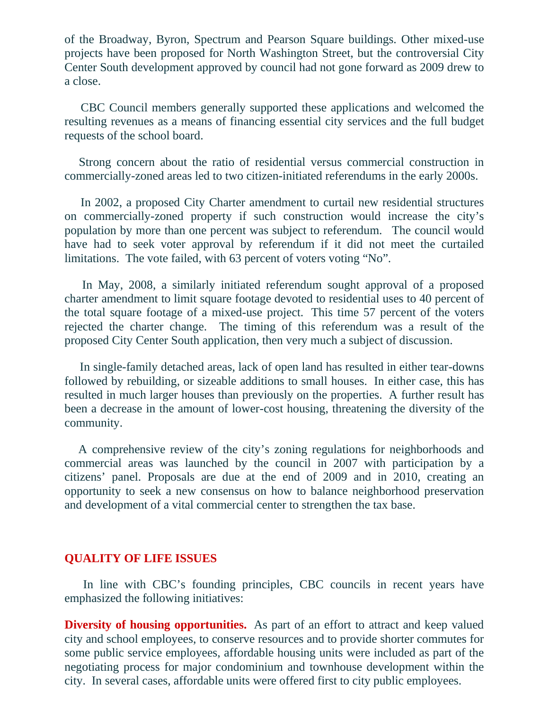of the Broadway, Byron, Spectrum and Pearson Square buildings. Other mixed-use projects have been proposed for North Washington Street, but the controversial City Center South development approved by council had not gone forward as 2009 drew to a close.

 CBC Council members generally supported these applications and welcomed the resulting revenues as a means of financing essential city services and the full budget requests of the school board.

 Strong concern about the ratio of residential versus commercial construction in commercially-zoned areas led to two citizen-initiated referendums in the early 2000s.

 In 2002, a proposed City Charter amendment to curtail new residential structures on commercially-zoned property if such construction would increase the city's population by more than one percent was subject to referendum. The council would have had to seek voter approval by referendum if it did not meet the curtailed limitations. The vote failed, with 63 percent of voters voting "No".

 In May, 2008, a similarly initiated referendum sought approval of a proposed charter amendment to limit square footage devoted to residential uses to 40 percent of the total square footage of a mixed-use project. This time 57 percent of the voters rejected the charter change. The timing of this referendum was a result of the proposed City Center South application, then very much a subject of discussion.

 In single-family detached areas, lack of open land has resulted in either tear-downs followed by rebuilding, or sizeable additions to small houses. In either case, this has resulted in much larger houses than previously on the properties. A further result has been a decrease in the amount of lower-cost housing, threatening the diversity of the community.

 A comprehensive review of the city's zoning regulations for neighborhoods and commercial areas was launched by the council in 2007 with participation by a citizens' panel. Proposals are due at the end of 2009 and in 2010, creating an opportunity to seek a new consensus on how to balance neighborhood preservation and development of a vital commercial center to strengthen the tax base.

#### **QUALITY OF LIFE ISSUES**

 In line with CBC's founding principles, CBC councils in recent years have emphasized the following initiatives:

**Diversity of housing opportunities.** As part of an effort to attract and keep valued city and school employees, to conserve resources and to provide shorter commutes for some public service employees, affordable housing units were included as part of the negotiating process for major condominium and townhouse development within the city. In several cases, affordable units were offered first to city public employees.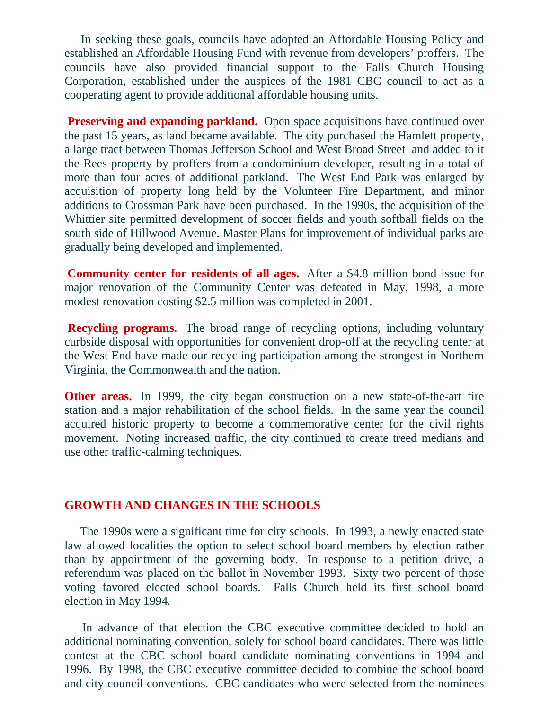In seeking these goals, councils have adopted an Affordable Housing Policy and established an Affordable Housing Fund with revenue from developers' proffers. The councils have also provided financial support to the Falls Church Housing Corporation, established under the auspices of the 1981 CBC council to act as a cooperating agent to provide additional affordable housing units.

**Preserving and expanding parkland.** Open space acquisitions have continued over the past 15 years, as land became available. The city purchased the Hamlett property, a large tract between Thomas Jefferson School and West Broad Street and added to it the Rees property by proffers from a condominium developer, resulting in a total of more than four acres of additional parkland. The West End Park was enlarged by acquisition of property long held by the Volunteer Fire Department, and minor additions to Crossman Park have been purchased. In the 1990s, the acquisition of the Whittier site permitted development of soccer fields and youth softball fields on the south side of Hillwood Avenue. Master Plans for improvement of individual parks are gradually being developed and implemented.

**Community center for residents of all ages.** After a \$4.8 million bond issue for major renovation of the Community Center was defeated in May, 1998, a more modest renovation costing \$2.5 million was completed in 2001.

**Recycling programs.** The broad range of recycling options, including voluntary curbside disposal with opportunities for convenient drop-off at the recycling center at the West End have made our recycling participation among the strongest in Northern Virginia, the Commonwealth and the nation.

**Other areas.** In 1999, the city began construction on a new state-of-the-art fire station and a major rehabilitation of the school fields. In the same year the council acquired historic property to become a commemorative center for the civil rights movement. Noting increased traffic, the city continued to create treed medians and use other traffic-calming techniques.

# **GROWTH AND CHANGES IN THE SCHOOLS**

 The 1990s were a significant time for city schools. In 1993, a newly enacted state law allowed localities the option to select school board members by election rather than by appointment of the governing body. In response to a petition drive, a referendum was placed on the ballot in November 1993. Sixty-two percent of those voting favored elected school boards. Falls Church held its first school board election in May 1994*.* 

 In advance of that election the CBC executive committee decided to hold an additional nominating convention, solely for school board candidates. There was little contest at the CBC school board candidate nominating conventions in 1994 and 1996. By 1998, the CBC executive committee decided to combine the school board and city council conventions. CBC candidates who were selected from the nominees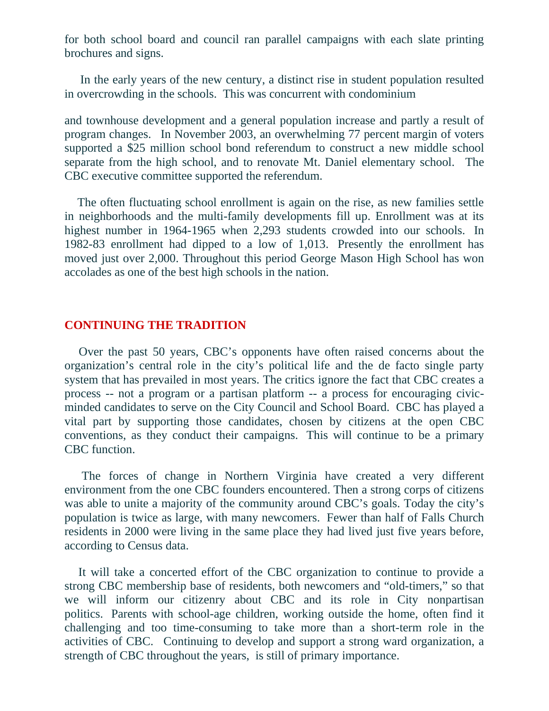for both school board and council ran parallel campaigns with each slate printing brochures and signs.

 In the early years of the new century, a distinct rise in student population resulted in overcrowding in the schools. This was concurrent with condominium

and townhouse development and a general population increase and partly a result of program changes. In November 2003, an overwhelming 77 percent margin of voters supported a \$25 million school bond referendum to construct a new middle school separate from the high school, and to renovate Mt. Daniel elementary school. The CBC executive committee supported the referendum.

 The often fluctuating school enrollment is again on the rise, as new families settle in neighborhoods and the multi-family developments fill up. Enrollment was at its highest number in 1964-1965 when 2,293 students crowded into our schools. In 1982-83 enrollment had dipped to a low of 1,013. Presently the enrollment has moved just over 2,000. Throughout this period George Mason High School has won accolades as one of the best high schools in the nation.

# **CONTINUING THE TRADITION**

 Over the past 50 years, CBC's opponents have often raised concerns about the organization's central role in the city's political life and the de facto single party system that has prevailed in most years. The critics ignore the fact that CBC creates a process -- not a program or a partisan platform -- a process for encouraging civicminded candidates to serve on the City Council and School Board. CBC has played a vital part by supporting those candidates, chosen by citizens at the open CBC conventions, as they conduct their campaigns. This will continue to be a primary CBC function.

 The forces of change in Northern Virginia have created a very different environment from the one CBC founders encountered. Then a strong corps of citizens was able to unite a majority of the community around CBC's goals. Today the city's population is twice as large, with many newcomers. Fewer than half of Falls Church residents in 2000 were living in the same place they had lived just five years before, according to Census data.

 It will take a concerted effort of the CBC organization to continue to provide a strong CBC membership base of residents, both newcomers and "old-timers," so that we will inform our citizenry about CBC and its role in City nonpartisan politics. Parents with school-age children, working outside the home, often find it challenging and too time-consuming to take more than a short-term role in the activities of CBC. Continuing to develop and support a strong ward organization, a strength of CBC throughout the years, is still of primary importance.